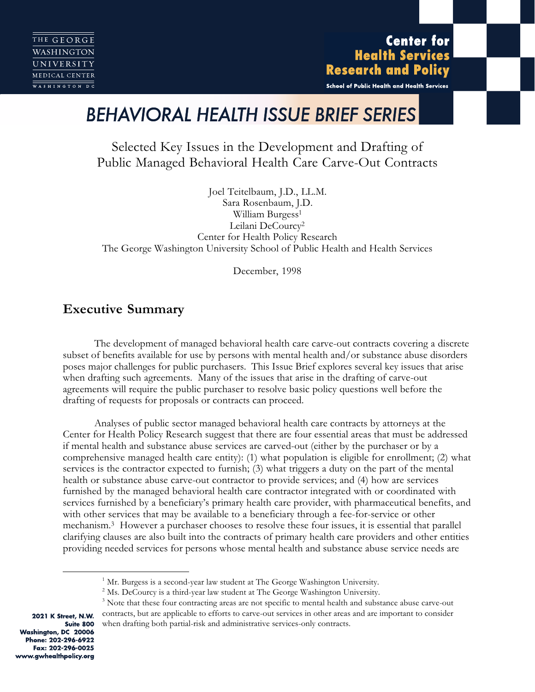**Center for Health Services Research and Policy** 

School of Public Health and Health Services

# *BEHAVIORAL HEALTH ISSUE BRIEF SERIES*

Selected Key Issues in the Development and Drafting of Public Managed Behavioral Health Care Carve-Out Contracts

Joel Teitelbaum, J.D., LL.M. Sara Rosenbaum, J.D. William Burgess<sup>1</sup> Leilani DeCourcy2 Center for Health Policy Research The George Washington University School of Public Health and Health Services

December, 1998

# **Executive Summary**

The development of managed behavioral health care carve-out contracts covering a discrete subset of benefits available for use by persons with mental health and/or substance abuse disorders poses major challenges for public purchasers. This Issue Brief explores several key issues that arise when drafting such agreements. Many of the issues that arise in the drafting of carve-out agreements will require the public purchaser to resolve basic policy questions well before the drafting of requests for proposals or contracts can proceed.

Analyses of public sector managed behavioral health care contracts by attorneys at the Center for Health Policy Research suggest that there are four essential areas that must be addressed if mental health and substance abuse services are carved-out (either by the purchaser or by a comprehensive managed health care entity): (1) what population is eligible for enrollment; (2) what services is the contractor expected to furnish; (3) what triggers a duty on the part of the mental health or substance abuse carve-out contractor to provide services; and (4) how are services furnished by the managed behavioral health care contractor integrated with or coordinated with services furnished by a beneficiary's primary health care provider, with pharmaceutical benefits, and with other services that may be available to a beneficiary through a fee-for-service or other mechanism.3 However a purchaser chooses to resolve these four issues, it is essential that parallel clarifying clauses are also built into the contracts of primary health care providers and other entities providing needed services for persons whose mental health and substance abuse service needs are

2021 K Street, N.W. Suite 800 Washington, DC 20006 Phone: 202-296-6922 Fax: 202-296-0025 www.gwhealthpolicy.org

 $1$  Mr. Burgess is a second-year law student at The George Washington University.

 $2$  Ms. DeCourcy is a third-year law student at The George Washington University.

 $3$  Note that these four contracting areas are not specific to mental health and substance abuse carve-out contracts, but are applicable to efforts to carve-out services in other areas and are important to consider when drafting both partial-risk and administrative services-only contracts.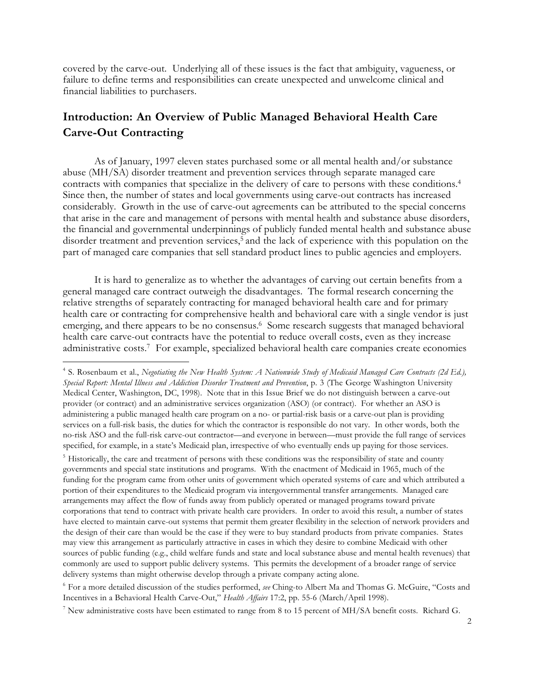covered by the carve-out. Underlying all of these issues is the fact that ambiguity, vagueness, or failure to define terms and responsibilities can create unexpected and unwelcome clinical and financial liabilities to purchasers.

# **Introduction: An Overview of Public Managed Behavioral Health Care Carve-Out Contracting**

As of January, 1997 eleven states purchased some or all mental health and/or substance abuse (MH/SA) disorder treatment and prevention services through separate managed care contracts with companies that specialize in the delivery of care to persons with these conditions.4 Since then, the number of states and local governments using carve-out contracts has increased considerably. Growth in the use of carve-out agreements can be attributed to the special concerns that arise in the care and management of persons with mental health and substance abuse disorders, the financial and governmental underpinnings of publicly funded mental health and substance abuse disorder treatment and prevention services,<sup>5</sup> and the lack of experience with this population on the part of managed care companies that sell standard product lines to public agencies and employers.

It is hard to generalize as to whether the advantages of carving out certain benefits from a general managed care contract outweigh the disadvantages. The formal research concerning the relative strengths of separately contracting for managed behavioral health care and for primary health care or contracting for comprehensive health and behavioral care with a single vendor is just emerging, and there appears to be no consensus.<sup>6</sup> Some research suggests that managed behavioral health care carve-out contracts have the potential to reduce overall costs, even as they increase administrative costs.7 For example, specialized behavioral health care companies create economies

 $\overline{a}$ 

<sup>5</sup> Historically, the care and treatment of persons with these conditions was the responsibility of state and county governments and special state institutions and programs. With the enactment of Medicaid in 1965, much of the funding for the program came from other units of government which operated systems of care and which attributed a portion of their expenditures to the Medicaid program via intergovernmental transfer arrangements. Managed care arrangements may affect the flow of funds away from publicly operated or managed programs toward private corporations that tend to contract with private health care providers. In order to avoid this result, a number of states have elected to maintain carve-out systems that permit them greater flexibility in the selection of network providers and the design of their care than would be the case if they were to buy standard products from private companies. States may view this arrangement as particularly attractive in cases in which they desire to combine Medicaid with other sources of public funding (e.g., child welfare funds and state and local substance abuse and mental health revenues) that commonly are used to support public delivery systems. This permits the development of a broader range of service delivery systems than might otherwise develop through a private company acting alone.

<sup>6</sup> For a more detailed discussion of the studies performed, *see* Ching-to Albert Ma and Thomas G. McGuire, "Costs and Incentives in a Behavioral Health Carve-Out," *Health Affairs* 17:2, pp. 55-6 (March/April 1998).

<sup>7</sup> New administrative costs have been estimated to range from 8 to 15 percent of MH/SA benefit costs. Richard G.

<sup>4</sup> S. Rosenbaum et al., *Negotiating the New Health System: A Nationwide Study of Medicaid Managed Care Contracts (2d Ed.), Special Report: Mental Illness and Addiction Disorder Treatment and Prevention*, p. 3 (The George Washington University Medical Center, Washington, DC, 1998). Note that in this Issue Brief we do not distinguish between a carve-out provider (or contract) and an administrative services organization (ASO) (or contract). For whether an ASO is administering a public managed health care program on a no- or partial-risk basis or a carve-out plan is providing services on a full-risk basis, the duties for which the contractor is responsible do not vary. In other words, both the no-risk ASO and the full-risk carve-out contractor—and everyone in between—must provide the full range of services specified, for example, in a state's Medicaid plan, irrespective of who eventually ends up paying for those services.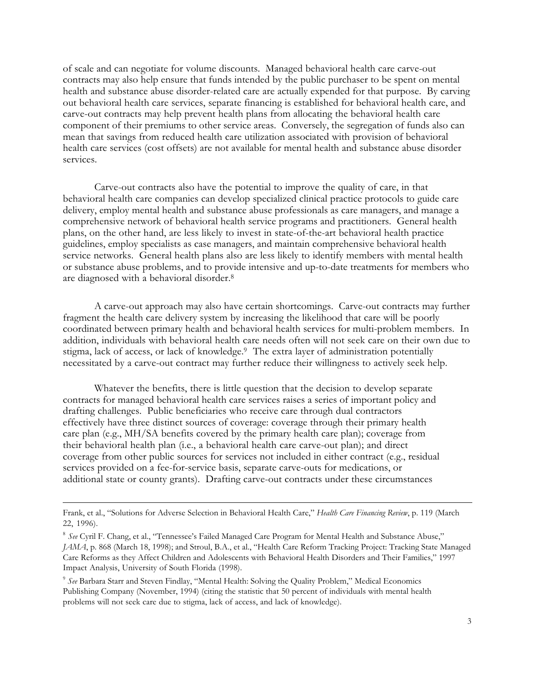of scale and can negotiate for volume discounts. Managed behavioral health care carve-out contracts may also help ensure that funds intended by the public purchaser to be spent on mental health and substance abuse disorder-related care are actually expended for that purpose. By carving out behavioral health care services, separate financing is established for behavioral health care, and carve-out contracts may help prevent health plans from allocating the behavioral health care component of their premiums to other service areas. Conversely, the segregation of funds also can mean that savings from reduced health care utilization associated with provision of behavioral health care services (cost offsets) are not available for mental health and substance abuse disorder services.

Carve-out contracts also have the potential to improve the quality of care, in that behavioral health care companies can develop specialized clinical practice protocols to guide care delivery, employ mental health and substance abuse professionals as care managers, and manage a comprehensive network of behavioral health service programs and practitioners. General health plans, on the other hand, are less likely to invest in state-of-the-art behavioral health practice guidelines, employ specialists as case managers, and maintain comprehensive behavioral health service networks. General health plans also are less likely to identify members with mental health or substance abuse problems, and to provide intensive and up-to-date treatments for members who are diagnosed with a behavioral disorder.8

A carve-out approach may also have certain shortcomings. Carve-out contracts may further fragment the health care delivery system by increasing the likelihood that care will be poorly coordinated between primary health and behavioral health services for multi-problem members. In addition, individuals with behavioral health care needs often will not seek care on their own due to stigma, lack of access, or lack of knowledge.<sup>9</sup> The extra layer of administration potentially necessitated by a carve-out contract may further reduce their willingness to actively seek help.

Whatever the benefits, there is little question that the decision to develop separate contracts for managed behavioral health care services raises a series of important policy and drafting challenges. Public beneficiaries who receive care through dual contractors effectively have three distinct sources of coverage: coverage through their primary health care plan (e.g., MH/SA benefits covered by the primary health care plan); coverage from their behavioral health plan (i.e., a behavioral health care carve-out plan); and direct coverage from other public sources for services not included in either contract (e.g., residual services provided on a fee-for-service basis, separate carve-outs for medications, or additional state or county grants). Drafting carve-out contracts under these circumstances

Frank, et al., "Solutions for Adverse Selection in Behavioral Health Care," *Health Care Financing Review*, p. 119 (March 22, 1996).

<sup>8</sup> *See* Cyril F. Chang, et al., "Tennessee's Failed Managed Care Program for Mental Health and Substance Abuse," *JAMA*, p. 868 (March 18, 1998); and Stroul, B.A., et al., "Health Care Reform Tracking Project: Tracking State Managed Care Reforms as they Affect Children and Adolescents with Behavioral Health Disorders and Their Families," 1997 Impact Analysis, University of South Florida (1998).

<sup>9</sup> *See* Barbara Starr and Steven Findlay, "Mental Health: Solving the Quality Problem," Medical Economics Publishing Company (November, 1994) (citing the statistic that 50 percent of individuals with mental health problems will not seek care due to stigma, lack of access, and lack of knowledge).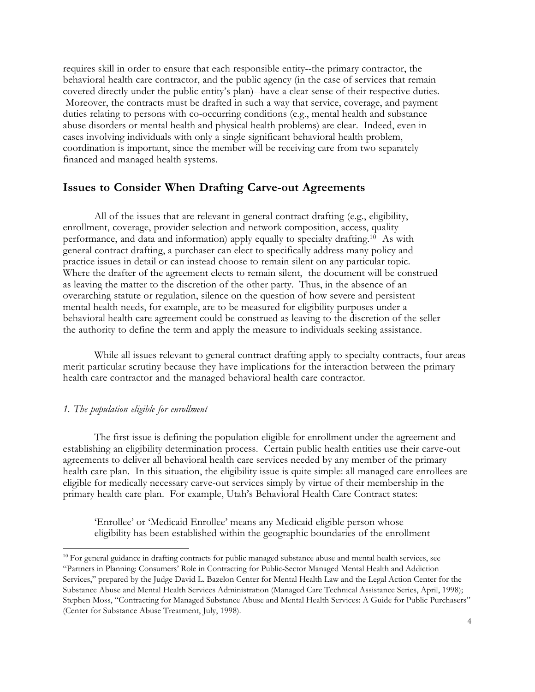requires skill in order to ensure that each responsible entity--the primary contractor, the behavioral health care contractor, and the public agency (in the case of services that remain covered directly under the public entity's plan)--have a clear sense of their respective duties. Moreover, the contracts must be drafted in such a way that service, coverage, and payment duties relating to persons with co-occurring conditions (e.g., mental health and substance abuse disorders or mental health and physical health problems) are clear. Indeed, even in cases involving individuals with only a single significant behavioral health problem, coordination is important, since the member will be receiving care from two separately financed and managed health systems.

### **Issues to Consider When Drafting Carve-out Agreements**

All of the issues that are relevant in general contract drafting (e.g., eligibility, enrollment, coverage, provider selection and network composition, access, quality performance, and data and information) apply equally to specialty drafting.10 As with general contract drafting, a purchaser can elect to specifically address many policy and practice issues in detail or can instead choose to remain silent on any particular topic. Where the drafter of the agreement elects to remain silent, the document will be construed as leaving the matter to the discretion of the other party. Thus, in the absence of an overarching statute or regulation, silence on the question of how severe and persistent mental health needs, for example, are to be measured for eligibility purposes under a behavioral health care agreement could be construed as leaving to the discretion of the seller the authority to define the term and apply the measure to individuals seeking assistance.

While all issues relevant to general contract drafting apply to specialty contracts, four areas merit particular scrutiny because they have implications for the interaction between the primary health care contractor and the managed behavioral health care contractor.

#### *1. The population eligible for enrollment*

 $\overline{a}$ 

The first issue is defining the population eligible for enrollment under the agreement and establishing an eligibility determination process. Certain public health entities use their carve-out agreements to deliver all behavioral health care services needed by any member of the primary health care plan. In this situation, the eligibility issue is quite simple: all managed care enrollees are eligible for medically necessary carve-out services simply by virtue of their membership in the primary health care plan. For example, Utah's Behavioral Health Care Contract states:

'Enrollee' or 'Medicaid Enrollee' means any Medicaid eligible person whose eligibility has been established within the geographic boundaries of the enrollment

 $10$  For general guidance in drafting contracts for public managed substance abuse and mental health services, see "Partners in Planning: Consumers' Role in Contracting for Public-Sector Managed Mental Health and Addiction Services," prepared by the Judge David L. Bazelon Center for Mental Health Law and the Legal Action Center for the Substance Abuse and Mental Health Services Administration (Managed Care Technical Assistance Series, April, 1998); Stephen Moss, "Contracting for Managed Substance Abuse and Mental Health Services: A Guide for Public Purchasers" (Center for Substance Abuse Treatment, July, 1998).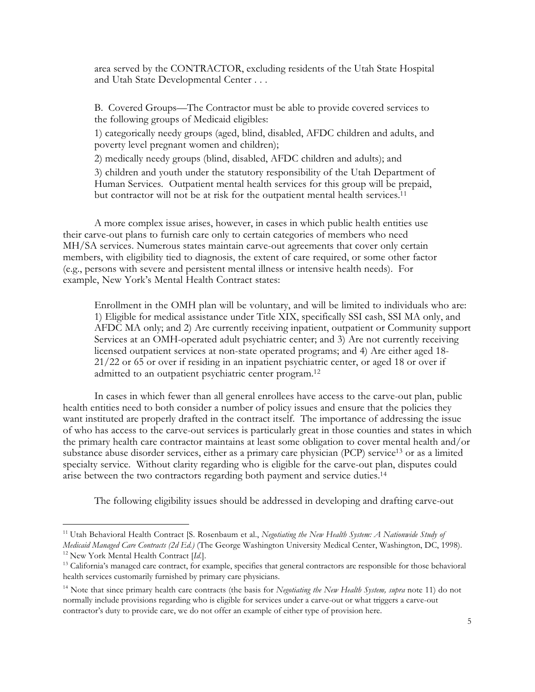area served by the CONTRACTOR, excluding residents of the Utah State Hospital and Utah State Developmental Center . . .

B. Covered Groups—The Contractor must be able to provide covered services to the following groups of Medicaid eligibles:

1) categorically needy groups (aged, blind, disabled, AFDC children and adults, and poverty level pregnant women and children);

2) medically needy groups (blind, disabled, AFDC children and adults); and

3) children and youth under the statutory responsibility of the Utah Department of Human Services. Outpatient mental health services for this group will be prepaid, but contractor will not be at risk for the outpatient mental health services.<sup>11</sup>

A more complex issue arises, however, in cases in which public health entities use their carve-out plans to furnish care only to certain categories of members who need MH/SA services. Numerous states maintain carve-out agreements that cover only certain members, with eligibility tied to diagnosis, the extent of care required, or some other factor (e.g., persons with severe and persistent mental illness or intensive health needs). For example, New York's Mental Health Contract states:

Enrollment in the OMH plan will be voluntary, and will be limited to individuals who are: 1) Eligible for medical assistance under Title XIX, specifically SSI cash, SSI MA only, and AFDC MA only; and 2) Are currently receiving inpatient, outpatient or Community support Services at an OMH-operated adult psychiatric center; and 3) Are not currently receiving licensed outpatient services at non-state operated programs; and 4) Are either aged 18- 21/22 or 65 or over if residing in an inpatient psychiatric center, or aged 18 or over if admitted to an outpatient psychiatric center program.12

In cases in which fewer than all general enrollees have access to the carve-out plan, public health entities need to both consider a number of policy issues and ensure that the policies they want instituted are properly drafted in the contract itself. The importance of addressing the issue of who has access to the carve-out services is particularly great in those counties and states in which the primary health care contractor maintains at least some obligation to cover mental health and/or substance abuse disorder services, either as a primary care physician (PCP) service<sup>13</sup> or as a limited specialty service. Without clarity regarding who is eligible for the carve-out plan, disputes could arise between the two contractors regarding both payment and service duties.14

The following eligibility issues should be addressed in developing and drafting carve-out

<sup>11</sup> Utah Behavioral Health Contract [S. Rosenbaum et al., *Negotiating the New Health System: A Nationwide Study of*

*Medicaid Managed Care Contracts (2d Ed.)* (The George Washington University Medical Center, Washington, DC, 1998). 12 New York Mental Health Contract [*Id*.].

<sup>&</sup>lt;sup>13</sup> California's managed care contract, for example, specifies that general contractors are responsible for those behavioral health services customarily furnished by primary care physicians.

<sup>14</sup> Note that since primary health care contracts (the basis for *Negotiating the New Health System, supra* note 11) do not normally include provisions regarding who is eligible for services under a carve-out or what triggers a carve-out contractor's duty to provide care, we do not offer an example of either type of provision here.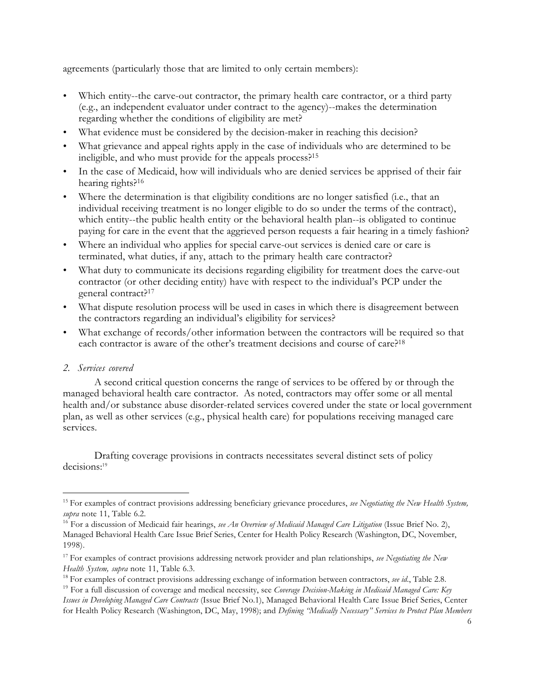agreements (particularly those that are limited to only certain members):

- Which entity--the carve-out contractor, the primary health care contractor, or a third party (e.g., an independent evaluator under contract to the agency)--makes the determination regarding whether the conditions of eligibility are met?
- What evidence must be considered by the decision-maker in reaching this decision?
- What grievance and appeal rights apply in the case of individuals who are determined to be ineligible, and who must provide for the appeals process?15
- In the case of Medicaid, how will individuals who are denied services be apprised of their fair hearing rights?<sup>16</sup>
- Where the determination is that eligibility conditions are no longer satisfied (i.e., that an individual receiving treatment is no longer eligible to do so under the terms of the contract), which entity--the public health entity or the behavioral health plan--is obligated to continue paying for care in the event that the aggrieved person requests a fair hearing in a timely fashion?
- Where an individual who applies for special carve-out services is denied care or care is terminated, what duties, if any, attach to the primary health care contractor?
- What duty to communicate its decisions regarding eligibility for treatment does the carve-out contractor (or other deciding entity) have with respect to the individual's PCP under the general contract?17
- What dispute resolution process will be used in cases in which there is disagreement between the contractors regarding an individual's eligibility for services?
- What exchange of records/other information between the contractors will be required so that each contractor is aware of the other's treatment decisions and course of care?18

## *2. Services covered*

 $\overline{a}$ 

A second critical question concerns the range of services to be offered by or through the managed behavioral health care contractor. As noted, contractors may offer some or all mental health and/or substance abuse disorder-related services covered under the state or local government plan, as well as other services (e.g., physical health care) for populations receiving managed care services.

Drafting coverage provisions in contracts necessitates several distinct sets of policy decisions:<sup>19</sup>

<sup>15</sup> For examples of contract provisions addressing beneficiary grievance procedures, *see Negotiating the New Health System, supra* note 11, Table 6.2.

<sup>16</sup> For a discussion of Medicaid fair hearings, *see An Overview of Medicaid Managed Care Litigation* (Issue Brief No. 2), Managed Behavioral Health Care Issue Brief Series, Center for Health Policy Research (Washington, DC, November, 1998).

<sup>17</sup> For examples of contract provisions addressing network provider and plan relationships, *see Negotiating the New Health System, supra* note 11, Table 6.3.

<sup>18</sup> For examples of contract provisions addressing exchange of information between contractors, *see id*., Table 2.8.

<sup>19</sup> For a full discussion of coverage and medical necessity, see *Coverage Decision-Making in Medicaid Managed Care: Key Issues in Developing Managed Care Contracts* (Issue Brief No.1), Managed Behavioral Health Care Issue Brief Series, Center for Health Policy Research (Washington, DC, May, 1998); and *Defining "Medically Necessary" Services to Protect Plan Members*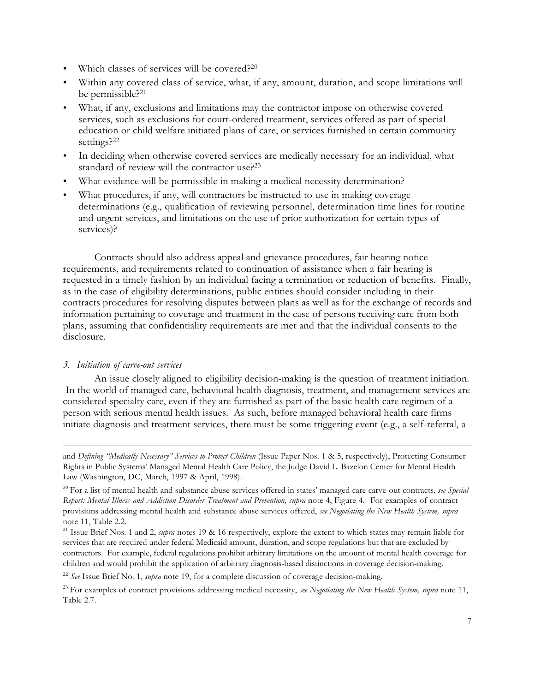- Which classes of services will be covered?<sup>20</sup>
- Within any covered class of service, what, if any, amount, duration, and scope limitations will be permissible?21
- What, if any, exclusions and limitations may the contractor impose on otherwise covered services, such as exclusions for court-ordered treatment, services offered as part of special education or child welfare initiated plans of care, or services furnished in certain community settings?22
- In deciding when otherwise covered services are medically necessary for an individual, what standard of review will the contractor use?23
- What evidence will be permissible in making a medical necessity determination?
- What procedures, if any, will contractors be instructed to use in making coverage determinations (e.g., qualification of reviewing personnel, determination time lines for routine and urgent services, and limitations on the use of prior authorization for certain types of services)?

Contracts should also address appeal and grievance procedures, fair hearing notice requirements, and requirements related to continuation of assistance when a fair hearing is requested in a timely fashion by an individual facing a termination or reduction of benefits. Finally, as in the case of eligibility determinations, public entities should consider including in their contracts procedures for resolving disputes between plans as well as for the exchange of records and information pertaining to coverage and treatment in the case of persons receiving care from both plans, assuming that confidentiality requirements are met and that the individual consents to the disclosure.

#### *3. Initiation of carve-out services*

L

An issue closely aligned to eligibility decision-making is the question of treatment initiation. In the world of managed care, behavioral health diagnosis, treatment, and management services are considered specialty care, even if they are furnished as part of the basic health care regimen of a person with serious mental health issues. As such, before managed behavioral health care firms initiate diagnosis and treatment services, there must be some triggering event (e.g., a self-referral, a

and *Defining "Medically Necessary" Services to Protect Children* (Issue Paper Nos. 1 & 5, respectively), Protecting Consumer Rights in Public Systems' Managed Mental Health Care Policy, the Judge David L. Bazelon Center for Mental Health Law (Washington, DC, March, 1997 & April, 1998).

<sup>20</sup> For a list of mental health and substance abuse services offered in states' managed care carve-out contracts, *see Special Report: Mental Illness and Addiction Disorder Treatment and Prevention, supra* note 4, Figure 4. For examples of contract provisions addressing mental health and substance abuse services offered, *see Negotiating the New Health System, supra* note 11, Table 2.2.

<sup>21</sup> Issue Brief Nos. 1 and 2, *supra* notes 19 & 16 respectively, explore the extent to which states may remain liable for services that are required under federal Medicaid amount, duration, and scope regulations but that are excluded by contractors. For example, federal regulations prohibit arbitrary limitations on the amount of mental health coverage for children and would prohibit the application of arbitrary diagnosis-based distinctions in coverage decision-making.

<sup>22</sup> *See* Issue Brief No. 1, *supra* note 19, for a complete discussion of coverage decision-making.

<sup>23</sup> For examples of contract provisions addressing medical necessity, *see Negotiating the New Health System, supra* note 11, Table 2.7.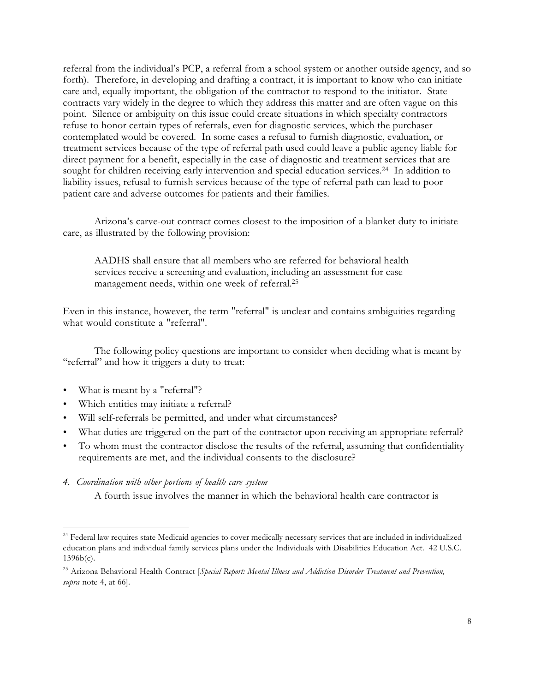referral from the individual's PCP, a referral from a school system or another outside agency, and so forth). Therefore, in developing and drafting a contract, it is important to know who can initiate care and, equally important, the obligation of the contractor to respond to the initiator. State contracts vary widely in the degree to which they address this matter and are often vague on this point. Silence or ambiguity on this issue could create situations in which specialty contractors refuse to honor certain types of referrals, even for diagnostic services, which the purchaser contemplated would be covered. In some cases a refusal to furnish diagnostic, evaluation, or treatment services because of the type of referral path used could leave a public agency liable for direct payment for a benefit, especially in the case of diagnostic and treatment services that are sought for children receiving early intervention and special education services.<sup>24</sup> In addition to liability issues, refusal to furnish services because of the type of referral path can lead to poor patient care and adverse outcomes for patients and their families.

Arizona's carve-out contract comes closest to the imposition of a blanket duty to initiate care, as illustrated by the following provision:

AADHS shall ensure that all members who are referred for behavioral health services receive a screening and evaluation, including an assessment for case management needs, within one week of referral.25

Even in this instance, however, the term "referral" is unclear and contains ambiguities regarding what would constitute a "referral".

The following policy questions are important to consider when deciding what is meant by "referral" and how it triggers a duty to treat:

• What is meant by a "referral"?

L

- Which entities may initiate a referral?
- Will self-referrals be permitted, and under what circumstances?
- What duties are triggered on the part of the contractor upon receiving an appropriate referral?
- To whom must the contractor disclose the results of the referral, assuming that confidentiality requirements are met, and the individual consents to the disclosure?
- *4. Coordination with other portions of health care system*

A fourth issue involves the manner in which the behavioral health care contractor is

<sup>&</sup>lt;sup>24</sup> Federal law requires state Medicaid agencies to cover medically necessary services that are included in individualized education plans and individual family services plans under the Individuals with Disabilities Education Act. 42 U.S.C. 1396b(c).

<sup>25</sup> Arizona Behavioral Health Contract [*Special Report: Mental Illness and Addiction Disorder Treatment and Prevention, supra* note 4, at 66].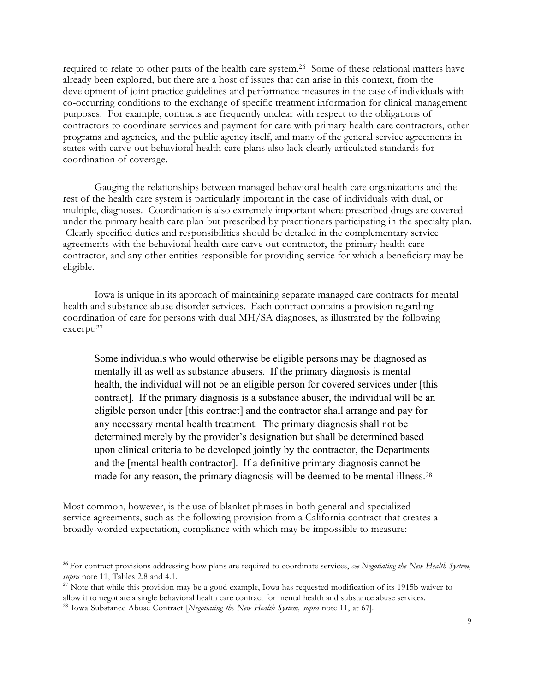required to relate to other parts of the health care system.26 Some of these relational matters have already been explored, but there are a host of issues that can arise in this context, from the development of joint practice guidelines and performance measures in the case of individuals with co-occurring conditions to the exchange of specific treatment information for clinical management purposes. For example, contracts are frequently unclear with respect to the obligations of contractors to coordinate services and payment for care with primary health care contractors, other programs and agencies, and the public agency itself, and many of the general service agreements in states with carve-out behavioral health care plans also lack clearly articulated standards for coordination of coverage.

Gauging the relationships between managed behavioral health care organizations and the rest of the health care system is particularly important in the case of individuals with dual, or multiple, diagnoses. Coordination is also extremely important where prescribed drugs are covered under the primary health care plan but prescribed by practitioners participating in the specialty plan. Clearly specified duties and responsibilities should be detailed in the complementary service agreements with the behavioral health care carve out contractor, the primary health care contractor, and any other entities responsible for providing service for which a beneficiary may be eligible.

Iowa is unique in its approach of maintaining separate managed care contracts for mental health and substance abuse disorder services. Each contract contains a provision regarding coordination of care for persons with dual MH/SA diagnoses, as illustrated by the following excerpt:27

Some individuals who would otherwise be eligible persons may be diagnosed as mentally ill as well as substance abusers. If the primary diagnosis is mental health, the individual will not be an eligible person for covered services under [this contract]. If the primary diagnosis is a substance abuser, the individual will be an eligible person under [this contract] and the contractor shall arrange and pay for any necessary mental health treatment. The primary diagnosis shall not be determined merely by the provider's designation but shall be determined based upon clinical criteria to be developed jointly by the contractor, the Departments and the [mental health contractor]. If a definitive primary diagnosis cannot be made for any reason, the primary diagnosis will be deemed to be mental illness.<sup>28</sup>

Most common, however, is the use of blanket phrases in both general and specialized service agreements, such as the following provision from a California contract that creates a broadly-worded expectation, compliance with which may be impossible to measure:

**<sup>26</sup>**For contract provisions addressing how plans are required to coordinate services, *see Negotiating the New Health System, supra* note 11, Tables 2.8 and 4.1.<br><sup>27</sup> Note that while this provision may be a good example, Iowa has requested modification of its 1915b waiver to

allow it to negotiate a single behavioral health care contract for mental health and substance abuse services.

<sup>28</sup> Iowa Substance Abuse Contract [*Negotiating the New Health System, supra* note 11, at 67].